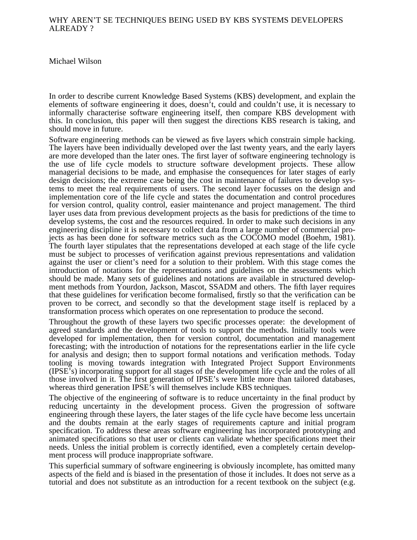## WHY AREN'T SE TECHNIQUES BEING USED BY KBS SYSTEMS DEVELOPERS ALREADY ?

Michael Wilson

In order to describe current Knowledge Based Systems (KBS) development, and explain the elements of software engineering it does, doesn't, could and couldn't use, it is necessary to informally characterise software engineering itself, then compare KBS development with this. In conclusion, this paper will then suggest the directions KBS research is taking, and should move in future.

Software engineering methods can be viewed as five layers which constrain simple hacking. The layers have been individually developed over the last twenty years, and the early layers are more developed than the later ones. The first layer of software engineering technology is the use of life cycle models to structure software development projects. These allow managerial decisions to be made, and emphasise the consequences for later stages of early design decisions; the extreme case being the cost in maintenance of failures to develop systems to meet the real requirements of users. The second layer focusses on the design and implementation core of the life cycle and states the documentation and control procedures for version control, quality control, easier maintenance and project management. The third layer uses data from previous development projects as the basis for predictions of the time to develop systems, the cost and the resources required. In order to make such decisions in any engineering discipline it is necessary to collect data from a large number of commercial projects as has been done for software metrics such as the COCOMO model (Boehm, 1981). The fourth layer stipulates that the representations developed at each stage of the life cycle must be subject to processes of verification against previous representations and validation against the user or client's need for a solution to their problem. With this stage comes the introduction of notations for the representations and guidelines on the assessments which should be made. Many sets of guidelines and notations are available in structured development methods from Yourdon, Jackson, Mascot, SSADM and others. The fifth layer requires that these guidelines for verification become formalised, firstly so that the verification can be proven to be correct, and secondly so that the development stage itself is replaced by a transformation process which operates on one representation to produce the second.

Throughout the growth of these layers two specific processes operate: the development of agreed standards and the development of tools to support the methods. Initially tools were developed for implementation, then for version control, documentation and management forecasting; with the introduction of notations for the representations earlier in the life cycle for analysis and design; then to support formal notations and verification methods. Today tooling is moving towards integration with Integrated Project Support Environments (IPSE's) incorporating support for all stages of the development life cycle and the roles of all those involved in it. The first generation of IPSE's were little more than tailored databases, whereas third generation IPSE's will themselves include KBS techniques.

The objective of the engineering of software is to reduce uncertainty in the final product by reducing uncertainty in the development process. Given the progression of software engineering through these layers, the later stages of the life cycle have become less uncertain and the doubts remain at the early stages of requirements capture and initial program specification. To address these areas software engineering has incorporated prototyping and animated specifications so that user or clients can validate whether specifications meet their needs. Unless the initial problem is correctly identified, even a completely certain development process will produce inappropriate software.

This superficial summary of software engineering is obviously incomplete, has omitted many aspects of the field and is biased in the presentation of those it includes. It does not serve as a tutorial and does not substitute as an introduction for a recent textbook on the subject (e.g.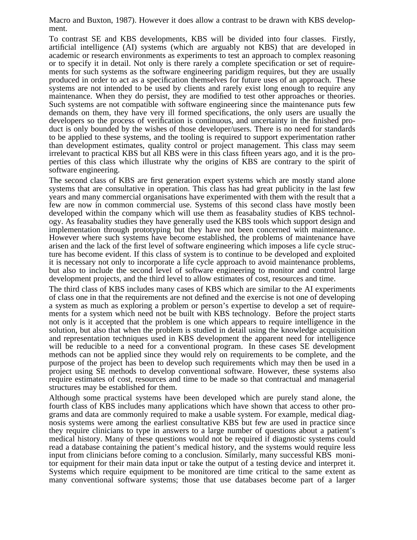Macro and Buxton, 1987). However it does allow a contrast to be drawn with KBS development.

To contrast SE and KBS developments, KBS will be divided into four classes. Firstly, artificial intelligence (AI) systems (which are arguably not KBS) that are developed in academic or research environments as experiments to test an approach to complex reasoning or to specify it in detail. Not only is there rarely a complete specification or set of requirements for such systems as the software engineering paridigm requires, but they are usually produced in order to act as a specification themselves for future uses of an approach. These systems are not intended to be used by clients and rarely exist long enough to require any maintenance. When they do persist, they are modified to test other approaches or theories. Such systems are not compatible with software engineering since the maintenance puts few demands on them, they have very ill formed specifications, the only users are usually the developers so the process of verification is continuous, and uncertainty in the finished product is only bounded by the wishes of those developer/users. There is no need for standards to be applied to these systems, and the tooling is required to support experimentation rather than development estimates, quality control or project management. This class may seem irrelevant to practical KBS but all KBS were in this class fifteen years ago, and it is the properties of this class which illustrate why the origins of KBS are contrary to the spirit of software engineering.

The second class of KBS are first generation expert systems which are mostly stand alone systems that are consultative in operation. This class has had great publicity in the last few years and many commercial organisations have experimented with them with the result that a few are now in common commercial use. Systems of this second class have mostly been developed within the company which will use them as feasabality studies of KBS technology. As feasabality studies they have generally used the KBS tools which support design and implementation through prototyping but they have not been concerned with maintenance. However where such systems have become established, the problems of maintenance have arisen and the lack of the first level of software engineering which imposes a life cycle structure has become evident. If this class of system is to continue to be developed and exploited it is necessary not only to incorporate a life cycle approach to avoid maintenance problems, but also to include the second level of software engineering to monitor and control large development projects, and the third level to allow estimates of cost, resources and time.

The third class of KBS includes many cases of KBS which are similar to the AI experiments of class one in that the requirements are not defined and the exercise is not one of developing a system as much as exploring a problem or person's expertise to develop a set of requirements for a system which need not be built with KBS technology. Before the project starts not only is it accepted that the problem is one which appears to require intelligence in the solution, but also that when the problem is studied in detail using the knowledge acquisition and representation techniques used in KBS development the apparent need for intelligence will be reducible to a need for a conventional program. In these cases SE development methods can not be applied since they would rely on requirements to be complete, and the purpose of the project has been to develop such requirements which may then be used in a project using SE methods to develop conventional software. However, these systems also require estimates of cost, resources and time to be made so that contractual and managerial structures may be established for them.

Although some practical systems have been developed which are purely stand alone, the fourth class of KBS includes many applications which have shown that access to other programs and data are commonly required to make a usable system. For example, medical diagnosis systems were among the earliest consultative KBS but few are used in practice since they require clinicians to type in answers to a large number of questions about a patient's medical history. Many of these questions would not be required if diagnostic systems could read a database containing the patient's medical history, and the systems would require less input from clinicians before coming to a conclusion. Similarly, many successful KBS monitor equipment for their main data input or take the output of a testing device and interpret it. Systems which require equipment to be monitored are time critical to the same extent as many conventional software systems; those that use databases become part of a larger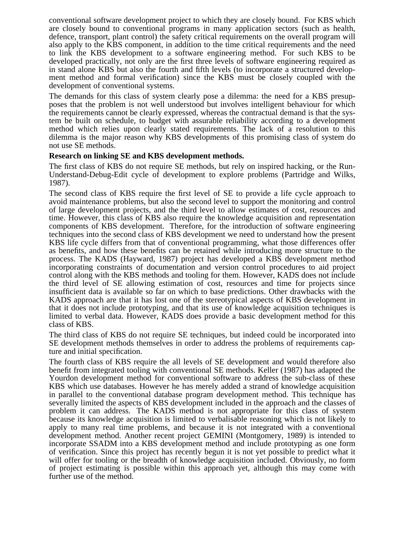conventional software development project to which they are closely bound. For KBS which are closely bound to conventional programs in many application sectors (such as health, defence, transport, plant control) the safety critical requirements on the overall program will also apply to the KBS component, in addition to the time critical requirements and the need to link the KBS development to a software engineering method. For such KBS to be developed practically, not only are the first three levels of software engineering required as in stand alone KBS but also the fourth and fifth levels (to incorporate a structured development method and formal verification) since the KBS must be closely coupled with the development of conventional systems.

The demands for this class of system clearly pose a dilemma: the need for a KBS presupposes that the problem is not well understood but involves intelligent behaviour for which the requirements cannot be clearly expressed, whereas the contractual demand is that the system be built on schedule, to budget with assurable reliability according to a development method which relies upon clearly stated requirements. The lack of a resolution to this dilemma is the major reason why KBS developments of this promising class of system do not use SE methods.

## **Research on linking SE and KBS development methods.**

The first class of KBS do not require SE methods, but rely on inspired hacking, or the Run-Understand-Debug-Edit cycle of development to explore problems (Partridge and Wilks, 1987).

The second class of KBS require the first level of SE to provide a life cycle approach to avoid maintenance problems, but also the second level to support the monitoring and control of large development projects, and the third level to allow estimates of cost, resources and time. However, this class of KBS also require the knowledge acquisition and representation components of KBS development. Therefore, for the introduction of software engineering techniques into the second class of KBS development we need to understand how the present KBS life cycle differs from that of conventional programming, what those differences offer as benefits, and how these benefits can be retained while introducing more structure to the process. The KADS (Hayward, 1987) project has developed a KBS development method incorporating constraints of documentation and version control procedures to aid project control along with the KBS methods and tooling for them. However, KADS does not include the third level of SE allowing estimation of cost, resources and time for projects since insufficient data is available so far on which to base predictions. Other drawbacks with the KADS approach are that it has lost one of the stereotypical aspects of KBS development in that it does not include prototyping, and that its use of knowledge acquisition techniques is limited to verbal data. However, KADS does provide a basic development method for this class of KBS.

The third class of KBS do not require SE techniques, but indeed could be incorporated into SE development methods themselves in order to address the problems of requirements capture and initial specification.

The fourth class of KBS require the all levels of SE development and would therefore also benefit from integrated tooling with conventional SE methods. Keller (1987) has adapted the Yourdon development method for conventional software to address the sub-class of these KBS which use databases. However he has merely added a strand of knowledge acquisition in parallel to the conventional database program development method. This technique has severally limited the aspects of KBS development included in the approach and the classes of problem it can address. The KADS method is not appropriate for this class of system because its knowledge acquisition is limited to verbalisable reasoning which is not likely to apply to many real time problems, and because it is not integrated with a conventional development method. Another recent project GEMINI (Montgomery, 1989) is intended to incorporate SSADM into a KBS development method and include prototyping as one form of verification. Since this project has recently begun it is not yet possible to predict what it will offer for tooling or the breadth of knowledge acquisition included. Obviously, no form of project estimating is possible within this approach yet, although this may come with further use of the method.